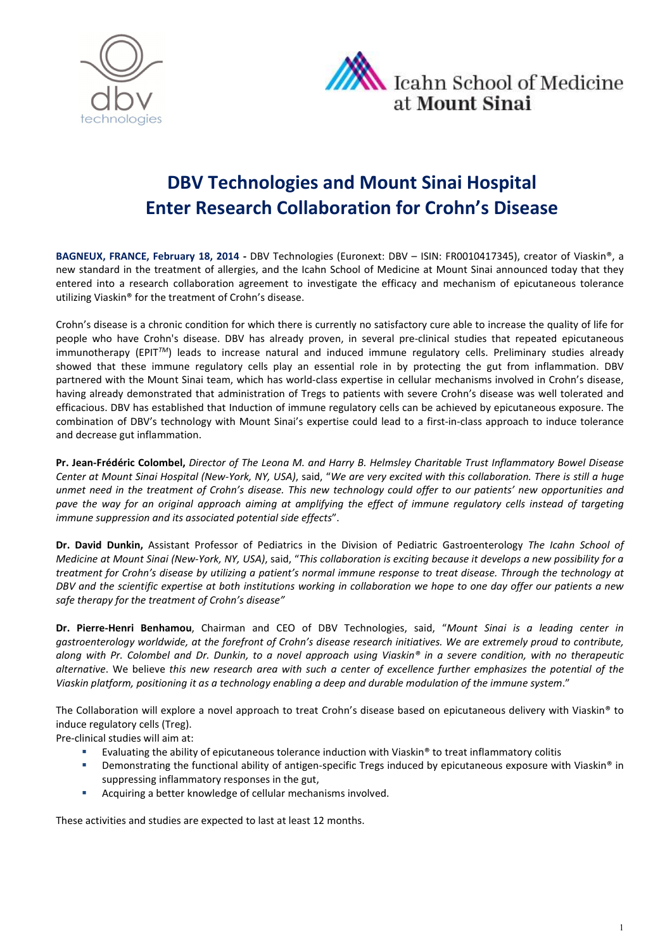



# DBV Technologies and Mount Sinai Hospital Enter Research Collaboration for Crohn's Disease

BAGNEUX, FRANCE, February 18, 2014 - DBV Technologies (Euronext: DBV – ISIN: FR0010417345), creator of Viaskin®, a new standard in the treatment of allergies, and the Icahn School of Medicine at Mount Sinai announced today that they entered into a research collaboration agreement to investigate the efficacy and mechanism of epicutaneous tolerance utilizing Viaskin® for the treatment of Crohn's disease.

Crohn's disease is a chronic condition for which there is currently no satisfactory cure able to increase the quality of life for people who have Crohn's disease. DBV has already proven, in several pre-clinical studies that repeated epicutaneous immunotherapy (EPIT*TM*) leads to increase natural and induced immune regulatory cells. Preliminary studies already showed that these immune regulatory cells play an essential role in by protecting the gut from inflammation. DBV partnered with the Mount Sinai team, which has world-class expertise in cellular mechanisms involved in Crohn's disease, having already demonstrated that administration of Tregs to patients with severe Crohn's disease was well tolerated and efficacious. DBV has established that Induction of immune regulatory cells can be achieved by epicutaneous exposure. The combination of DBV's technology with Mount Sinai's expertise could lead to a first-in-class approach to induce tolerance and decrease gut inflammation.

Pr. Jean-Frédéric Colombel, *Director of The Leona M. and Harry B. Helmsley Charitable Trust Inflammatory Bowel Disease Center at Mount Sinai Hospital (New-York, NY, USA)*, said, "*We are very excited with this collaboration. There is still a huge unmet need in the treatment of Crohn's disease. This new technology could offer to our patients' new opportunities and pave the way for an original approach aiming at amplifying the effect of immune regulatory cells instead of targeting immune suppression and its associated potential side effects*".

Dr. David Dunkin, Assistant Professor of Pediatrics in the Division of Pediatric Gastroenterology *The Icahn School of Medicine at Mount Sinai (New-York, NY, USA)*, said, "*This collaboration is exciting because it develops a new possibility for a treatment for Crohn's disease by utilizing a patient's normal immune response to treat disease. Through the technology at DBV and the scientific expertise at both institutions working in collaboration we hope to one day offer our patients a new safe therapy for the treatment of Crohn's disease"*

Dr. Pierre-Henri Benhamou, Chairman and CEO of DBV Technologies, said, "*Mount Sinai is a leading center in gastroenterology worldwide, at the forefront of Crohn's disease research initiatives. We are extremely proud to contribute, along with Pr. Colombel and Dr. Dunkin, to a novel approach using Viaskin® in a severe condition, with no therapeutic alternative*. We believe *this new research area with such a center of excellence further emphasizes the potential of the Viaskin platform, positioning it as a technology enabling a deep and durable modulation of the immune system*."

The Collaboration will explore a novel approach to treat Crohn's disease based on epicutaneous delivery with Viaskin® to induce regulatory cells (Treg).

Pre-clinical studies will aim at:

- Evaluating the ability of epicutaneous tolerance induction with Viaskin® to treat inflammatory colitis
- Demonstrating the functional ability of antigen-specific Tregs induced by epicutaneous exposure with Viaskin® in suppressing inflammatory responses in the gut,
- **Acquiring a better knowledge of cellular mechanisms involved.**

These activities and studies are expected to last at least 12 months.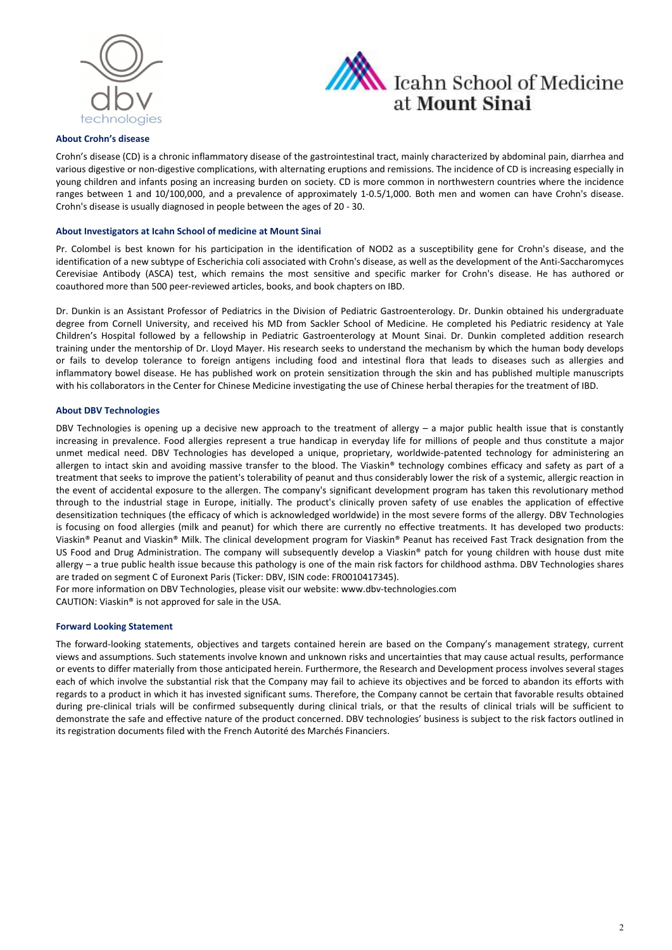



#### About Crohn's disease

Crohn's disease (CD) is a chronic inflammatory disease of the gastrointestinal tract, mainly characterized by abdominal pain, diarrhea and various digestive or non-digestive complications, with alternating eruptions and remissions. The incidence of CD is increasing especially in young children and infants posing an increasing burden on society. CD is more common in northwestern countries where the incidence ranges between 1 and 10/100,000, and a prevalence of approximately 1-0.5/1,000. Both men and women can have Crohn's disease. Crohn's disease is usually diagnosed in people between the ages of 20 - 30.

#### About Investigators at Icahn School of medicine at Mount Sinai

Pr. Colombel is best known for his participation in the identification of NOD2 as a susceptibility gene for Crohn's disease, and the identification of a new subtype of Escherichia coli associated with Crohn's disease, as well as the development of the Anti-Saccharomyces Cerevisiae Antibody (ASCA) test, which remains the most sensitive and specific marker for Crohn's disease. He has authored or coauthored more than 500 peer-reviewed articles, books, and book chapters on IBD.

Dr. Dunkin is an Assistant Professor of Pediatrics in the Division of Pediatric Gastroenterology. Dr. Dunkin obtained his undergraduate degree from Cornell University, and received his MD from Sackler School of Medicine. He completed his Pediatric residency at Yale Children's Hospital followed by a fellowship in Pediatric Gastroenterology at Mount Sinai. Dr. Dunkin completed addition research training under the mentorship of Dr. Lloyd Mayer. His research seeks to understand the mechanism by which the human body develops or fails to develop tolerance to foreign antigens including food and intestinal flora that leads to diseases such as allergies and inflammatory bowel disease. He has published work on protein sensitization through the skin and has published multiple manuscripts with his collaborators in the Center for Chinese Medicine investigating the use of Chinese herbal therapies for the treatment of IBD.

#### About DBV Technologies

DBV Technologies is opening up a decisive new approach to the treatment of allergy – a major public health issue that is constantly increasing in prevalence. Food allergies represent a true handicap in everyday life for millions of people and thus constitute a major unmet medical need. DBV Technologies has developed a unique, proprietary, worldwide-patented technology for administering an allergen to intact skin and avoiding massive transfer to the blood. The Viaskin® technology combines efficacy and safety as part of a treatment that seeks to improve the patient's tolerability of peanut and thus considerably lower the risk of a systemic, allergic reaction in the event of accidental exposure to the allergen. The company's significant development program has taken this revolutionary method through to the industrial stage in Europe, initially. The product's clinically proven safety of use enables the application of effective desensitization techniques (the efficacy of which is acknowledged worldwide) in the most severe forms of the allergy. DBV Technologies is focusing on food allergies (milk and peanut) for which there are currently no effective treatments. It has developed two products: Viaskin® Peanut and Viaskin® Milk. The clinical development program for Viaskin® Peanut has received Fast Track designation from the US Food and Drug Administration. The company will subsequently develop a Viaskin® patch for young children with house dust mite allergy – a true public health issue because this pathology is one of the main risk factors for childhood asthma. DBV Technologies shares are traded on segment C of Euronext Paris (Ticker: DBV, ISIN code: FR0010417345).

For more information on DBV Technologies, please visit our website: www.dbv-technologies.com CAUTION: Viaskin® is not approved for sale in the USA.

#### Forward Looking Statement

The forward-looking statements, objectives and targets contained herein are based on the Company's management strategy, current views and assumptions. Such statements involve known and unknown risks and uncertainties that may cause actual results, performance or events to differ materially from those anticipated herein. Furthermore, the Research and Development process involves several stages each of which involve the substantial risk that the Company may fail to achieve its objectives and be forced to abandon its efforts with regards to a product in which it has invested significant sums. Therefore, the Company cannot be certain that favorable results obtained during pre-clinical trials will be confirmed subsequently during clinical trials, or that the results of clinical trials will be sufficient to demonstrate the safe and effective nature of the product concerned. DBV technologies' business is subject to the risk factors outlined in its registration documents filed with the French Autorité des Marchés Financiers.